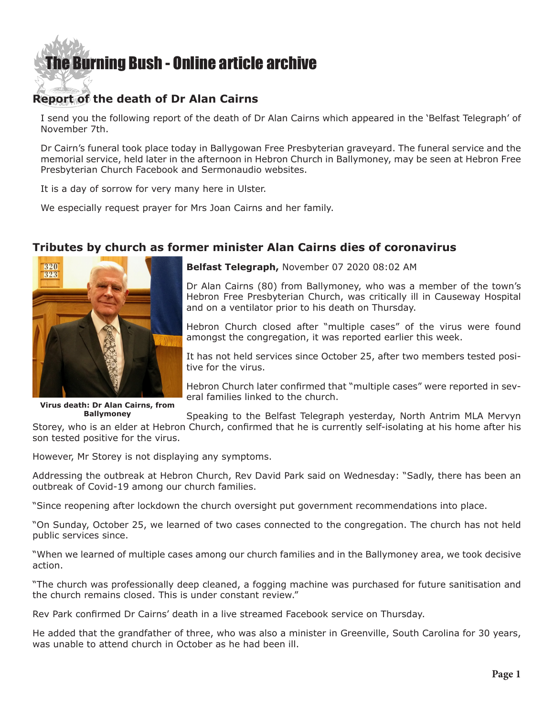## [The Burning Bush - Online article archive](http://www.ivanfoster.net)

## **Report of the death of Dr Alan Cairns**

I send you the following report of the death of Dr Alan Cairns which appeared in the 'Belfast Telegraph' of November 7th.

Dr Cairn's funeral took place today in Ballygowan Free Presbyterian graveyard. The funeral service and the memorial service, held later in the afternoon in Hebron Church in Ballymoney, may be seen at Hebron Free Presbyterian Church Facebook and Sermonaudio websites.

It is a day of sorrow for very many here in Ulster.

We especially request prayer for Mrs Joan Cairns and her family.

## **Tributes by church as former minister Alan Cairns dies of coronavirus**



**Virus death: Dr Alan Cairns, from Ballymoney**

**[Belfast Telegraph,](https://www.belfasttelegraph.co.uk/news/northern-ireland/tributes-by-church-as-former-minister-alan-cairns-dies-of-coronavirus-39716499.html)** November 07 2020 08:02 AM

Dr Alan Cairns (80) from Ballymoney, who was a member of the town's Hebron Free Presbyterian Church, was critically ill in Causeway Hospital and on a ventilator prior to his death on Thursday.

Hebron Church closed after "multiple cases" of the virus were found amongst the congregation, it was reported earlier this week.

It has not held services since October 25, after two members tested positive for the virus.

Hebron Church later confirmed that "multiple cases" were reported in several families linked to the church.

Speaking to the Belfast Telegraph yesterday, North Antrim MLA Mervyn

Storey, who is an elder at Hebron Church, confirmed that he is currently self-isolating at his home after his son tested positive for the virus.

However, Mr Storey is not displaying any symptoms.

Addressing the outbreak at Hebron Church, Rev David Park said on Wednesday: "Sadly, there has been an outbreak of Covid-19 among our church families.

"Since reopening after lockdown the church oversight put government recommendations into place.

"On Sunday, October 25, we learned of two cases connected to the congregation. The church has not held public services since.

"When we learned of multiple cases among our church families and in the Ballymoney area, we took decisive action.

"The church was professionally deep cleaned, a fogging machine was purchased for future sanitisation and the church remains closed. This is under constant review."

Rev Park confirmed Dr Cairns' death in a live streamed Facebook service on Thursday.

He added that the grandfather of three, who was also a minister in Greenville, South Carolina for 30 years, was unable to attend church in October as he had been ill.